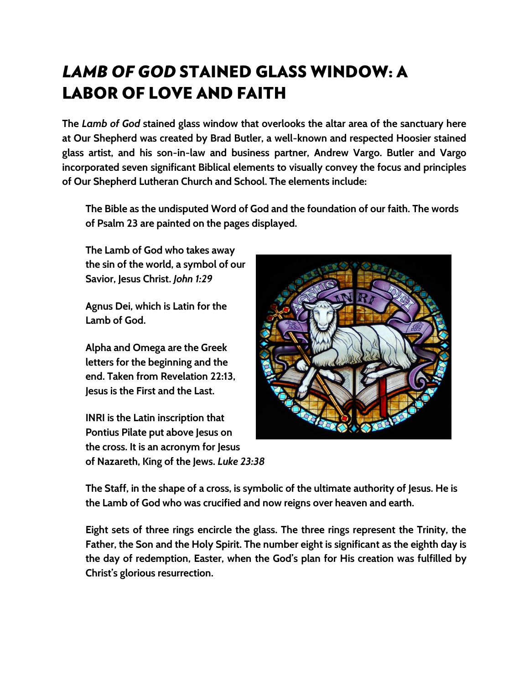# **LAMB OF GOD STAINED GLASS WINDOW: A LABOR OF LOVE AND FAITH**

**The** *Lamb of God* **stained glass window that overlooks the altar area of the sanctuary here at Our Shepherd was created by Brad Butler, a well-known and respected Hoosier stained glass artist, and his son-in-law and business partner, Andrew Vargo. Butler and Vargo incorporated seven significant Biblical elements to visually convey the focus and principles of Our Shepherd Lutheran Church and School. The elements include:** 

**The Bible as the undisputed Word of God and the foundation of our faith. The words of Psalm 23 are painted on the pages displayed.**

**The Lamb of God who takes away the sin of the world, a symbol of our Savior, Jesus Christ.** *John 1:29*

**Agnus Dei, which is Latin for the Lamb of God.**

**Alpha and Omega are the Greek letters for the beginning and the end. Taken from Revelation 22:13, Jesus is the First and the Last.** 

**INRI is the Latin inscription that Pontius Pilate put above Jesus on the cross. It is an acronym for Jesus of Nazareth, King of the Jews.** *Luke 23:38*



**The Staff, in the shape of a cross, is symbolic of the ultimate authority of Jesus. He is the Lamb of God who was crucified and now reigns over heaven and earth.**

**Eight sets of three rings encircle the glass. The three rings represent the Trinity, the Father, the Son and the Holy Spirit. The number eight is significant as the eighth day is the day of redemption, Easter, when the God's plan for His creation was fulfilled by Christ's glorious resurrection.**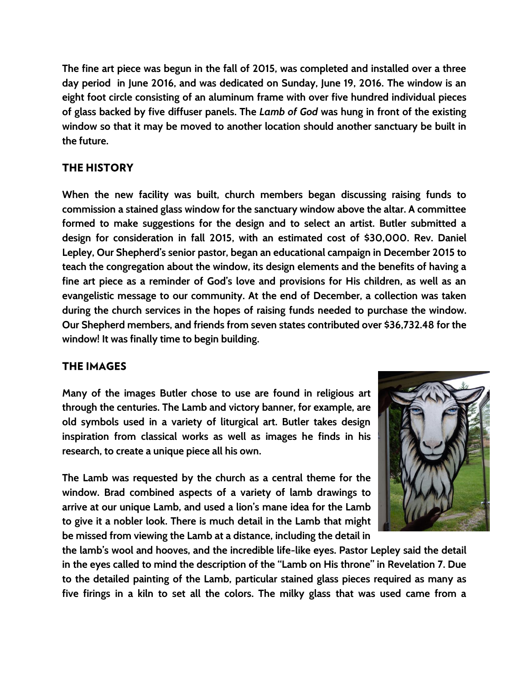**The fine art piece was begun in the fall of 2015, was completed and installed over a three day period in June 2016, and was dedicated on Sunday, June 19, 2016. The window is an eight foot circle consisting of an aluminum frame with over five hundred individual pieces of glass backed by five diffuser panels. The** *Lamb of God* **was hung in front of the existing window so that it may be moved to another location should another sanctuary be built in the future.**

### **THE HISTORY**

**When the new facility was built, church members began discussing raising funds to commission a stained glass window for the sanctuary window above the altar. A committee formed to make suggestions for the design and to select an artist. Butler submitted a design for consideration in fall 2015, with an estimated cost of \$30,000. Rev. Daniel Lepley, Our Shepherd's senior pastor, began an educational campaign in December 2015 to teach the congregation about the window, its design elements and the benefits of having a fine art piece as a reminder of God's love and provisions for His children, as well as an evangelistic message to our community. At the end of December, a collection was taken during the church services in the hopes of raising funds needed to purchase the window. Our Shepherd members, and friends from seven states contributed over \$36,732.48 for the window! It was finally time to begin building.**

## **THE IMAGES**

**Many of the images Butler chose to use are found in religious art through the centuries. The Lamb and victory banner, for example, are old symbols used in a variety of liturgical art. Butler takes design inspiration from classical works as well as images he finds in his research, to create a unique piece all his own.**

**The Lamb was requested by the church as a central theme for the window. Brad combined aspects of a variety of lamb drawings to arrive at our unique Lamb, and used a lion's mane idea for the Lamb to give it a nobler look. There is much detail in the Lamb that might be missed from viewing the Lamb at a distance, including the detail in** 



**the lamb's wool and hooves, and the incredible life-like eyes. Pastor Lepley said the detail in the eyes called to mind the description of the "Lamb on His throne" in Revelation 7. Due to the detailed painting of the Lamb, particular stained glass pieces required as many as five firings in a kiln to set all the colors. The milky glass that was used came from a**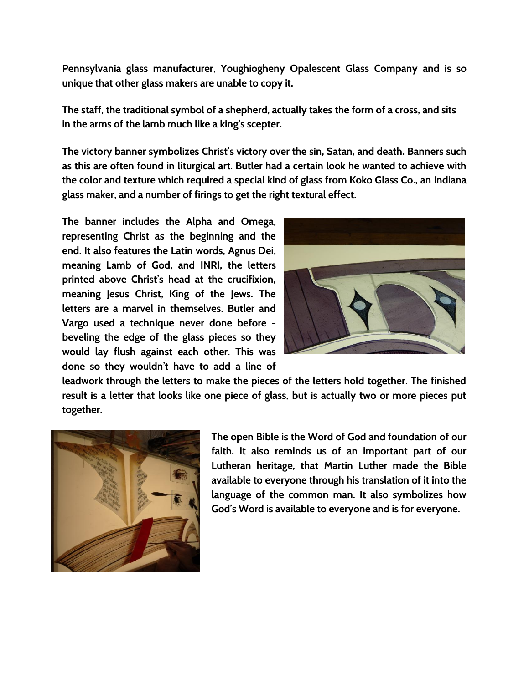**Pennsylvania glass manufacturer, Youghiogheny Opalescent Glass Company and is so unique that other glass makers are unable to copy it.**

**The staff, the traditional symbol of a shepherd, actually takes the form of a cross, and sits in the arms of the lamb much like a king's scepter.**

**The victory banner symbolizes Christ's victory over the sin, Satan, and death. Banners such as this are often found in liturgical art. Butler had a certain look he wanted to achieve with the color and texture which required a special kind of glass from Koko Glass Co., an Indiana glass maker, and a number of firings to get the right textural effect.**

**The banner includes the Alpha and Omega, representing Christ as the beginning and the end. It also features the Latin words, Agnus Dei, meaning Lamb of God, and INRI, the letters printed above Christ's head at the crucifixion, meaning Jesus Christ, King of the Jews. The letters are a marvel in themselves. Butler and Vargo used a technique never done before beveling the edge of the glass pieces so they would lay flush against each other. This was done so they wouldn't have to add a line of** 



**leadwork through the letters to make the pieces of the letters hold together. The finished result is a letter that looks like one piece of glass, but is actually two or more pieces put together.** 



**The open Bible is the Word of God and foundation of our faith. It also reminds us of an important part of our Lutheran heritage, that Martin Luther made the Bible available to everyone through his translation of it into the language of the common man. It also symbolizes how God's Word is available to everyone and is for everyone.**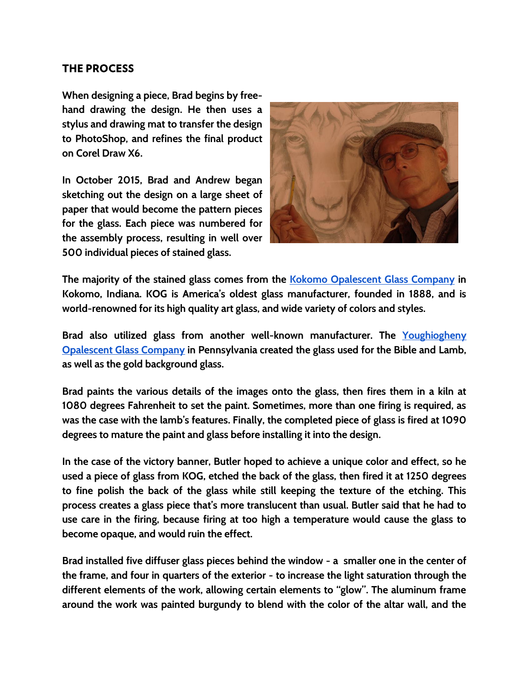#### **THE PROCESS**

**When designing a piece, Brad begins by freehand drawing the design. He then uses a stylus and drawing mat to transfer the design to PhotoShop, and refines the final product on Corel Draw X6.**

**In October 2015, Brad and Andrew began sketching out the design on a large sheet of paper that would become the pattern pieces for the glass. Each piece was numbered for the assembly process, resulting in well over 500 individual pieces of stained glass.**



**The majority of the stained glass comes from the [Kokomo Opalescent Glass Company](http://www.kog.com/location-and-tour-info.html) in Kokomo, Indiana. KOG is America's oldest glass manufacturer, founded in 1888, and is world-renowned for its high quality art glass, and wide variety of colors and styles.** 

**Brad also utilized glass from another well-known manufacturer. The [Youghiogheny](http://www.youghioghenyglass.com/)  [Opalescent Glass Company](http://www.youghioghenyglass.com/) in Pennsylvania created the glass used for the Bible and Lamb, as well as the gold background glass.**

**Brad paints the various details of the images onto the glass, then fires them in a kiln at 1080 degrees Fahrenheit to set the paint. Sometimes, more than one firing is required, as was the case with the lamb's features. Finally, the completed piece of glass is fired at 1090 degrees to mature the paint and glass before installing it into the design.** 

**In the case of the victory banner, Butler hoped to achieve a unique color and effect, so he used a piece of glass from KOG, etched the back of the glass, then fired it at 1250 degrees to fine polish the back of the glass while still keeping the texture of the etching. This process creates a glass piece that's more translucent than usual. Butler said that he had to use care in the firing, because firing at too high a temperature would cause the glass to become opaque, and would ruin the effect.**

**Brad installed five diffuser glass pieces behind the window - a smaller one in the center of the frame, and four in quarters of the exterior - to increase the light saturation through the different elements of the work, allowing certain elements to "glow". The aluminum frame around the work was painted burgundy to blend with the color of the altar wall, and the**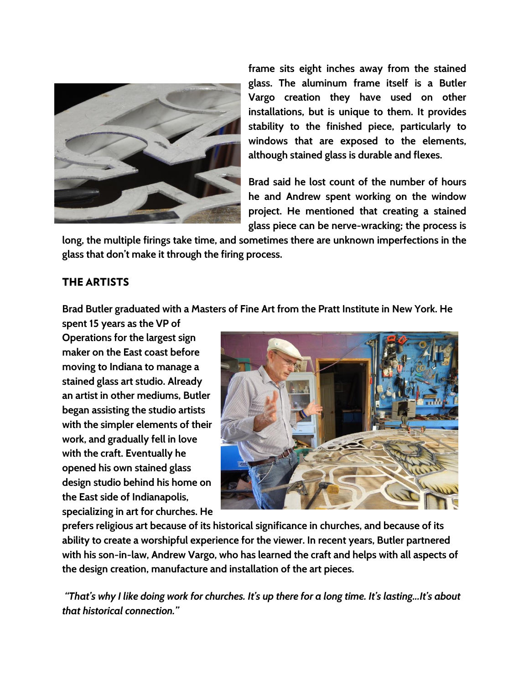

**frame sits eight inches away from the stained glass. The aluminum frame itself is a Butler Vargo creation they have used on other installations, but is unique to them. It provides stability to the finished piece, particularly to windows that are exposed to the elements, although stained glass is durable and flexes.**

**Brad said he lost count of the number of hours he and Andrew spent working on the window project. He mentioned that creating a stained glass piece can be nerve-wracking; the process is** 

**long, the multiple firings take time, and sometimes there are unknown imperfections in the glass that don't make it through the firing process.**

#### **THE ARTISTS**

**Brad Butler graduated with a Masters of Fine Art from the Pratt Institute in New York. He** 

**spent 15 years as the VP of Operations for the largest sign maker on the East coast before moving to Indiana to manage a stained glass art studio. Already an artist in other mediums, Butler began assisting the studio artists with the simpler elements of their work, and gradually fell in love with the craft. Eventually he opened his own stained glass design studio behind his home on the East side of Indianapolis, specializing in art for churches. He** 



**prefers religious art because of its historical significance in churches, and because of its ability to create a worshipful experience for the viewer. In recent years, Butler partnered with his son-in-law, Andrew Vargo, who has learned the craft and helps with all aspects of the design creation, manufacture and installation of the art pieces.**

*"That's why I like doing work for churches. It's up there for a long time. It's lasting...It's about that historical connection."*